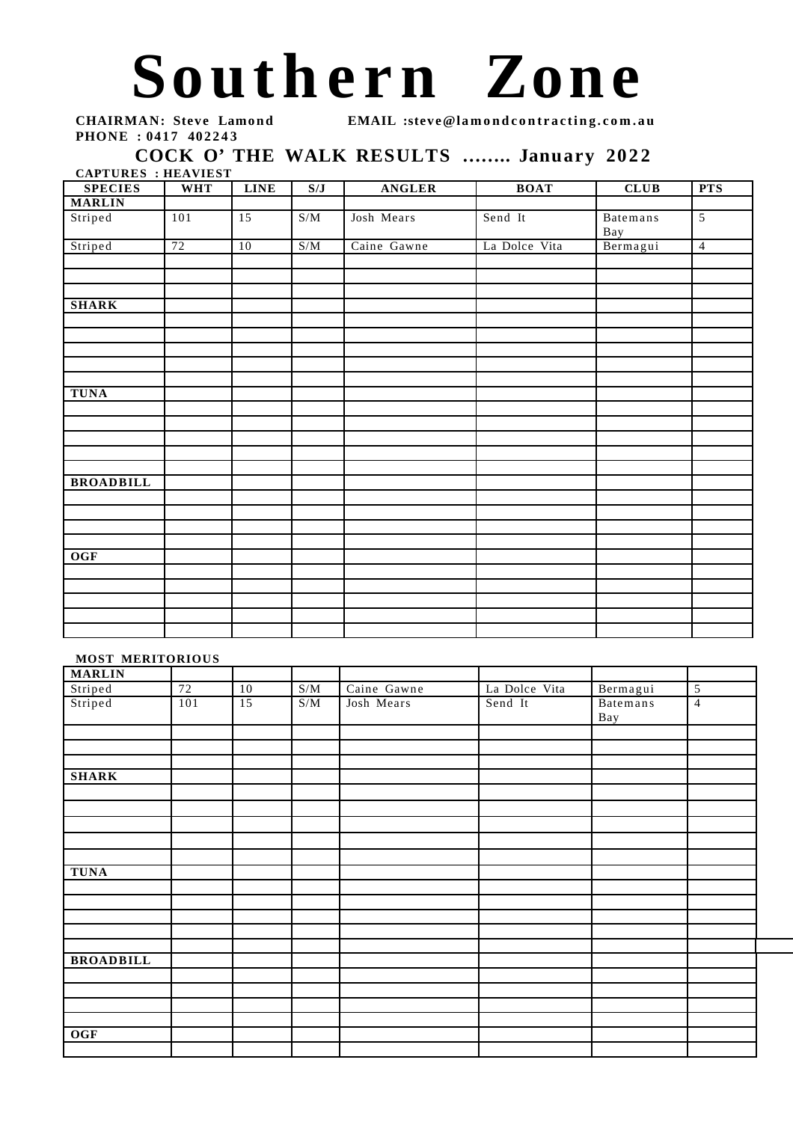## Southern Zone

**PHONE : 0417 402243** 

**CHAIRMAN: Steve Lamond EMAIL :steve@lamondcontracting.com.au** 

5

## COCK O' THE WALK RESULTS ........ January 2022

**CAPTURES : HEAVIEST SPECIES WHT LINE S/J ANGLER BOAT CLUB PTS MARLIN** Striped | 101 | 15 | S/M | Josh Mears | Send It | Batemans Bay<br>Bermagui Striped 72 10 S/M Caine Gawne La Dolce Vita Bermagui 4 **SHARK TUNA**

| <b>BROADBILL</b> |  |  |  |  |
|------------------|--|--|--|--|
|                  |  |  |  |  |
|                  |  |  |  |  |
|                  |  |  |  |  |
|                  |  |  |  |  |
| <b>OGF</b>       |  |  |  |  |
|                  |  |  |  |  |
|                  |  |  |  |  |
|                  |  |  |  |  |
|                  |  |  |  |  |
|                  |  |  |  |  |

## **MOST MERITORIOUS**

| <b>MARLIN</b>    |        |                 |                  |             |               |                 |                |
|------------------|--------|-----------------|------------------|-------------|---------------|-----------------|----------------|
| Striped          | $72\,$ | 10              | $\overline{S/M}$ | Caine Gawne | La Dolce Vita | Bermagui        | 5              |
| Striped          | 101    | $\overline{15}$ | S/M              | Josh Mears  | Send It       | Batemans<br>Bay | $\overline{4}$ |
|                  |        |                 |                  |             |               |                 |                |
| <b>SHARK</b>     |        |                 |                  |             |               |                 |                |
|                  |        |                 |                  |             |               |                 |                |
|                  |        |                 |                  |             |               |                 |                |
| <b>TUNA</b>      |        |                 |                  |             |               |                 |                |
|                  |        |                 |                  |             |               |                 |                |
|                  |        |                 |                  |             |               |                 |                |
|                  |        |                 |                  |             |               |                 |                |
| <b>BROADBILL</b> |        |                 |                  |             |               |                 |                |
|                  |        |                 |                  |             |               |                 |                |
|                  |        |                 |                  |             |               |                 |                |
| <b>OGF</b>       |        |                 |                  |             |               |                 |                |